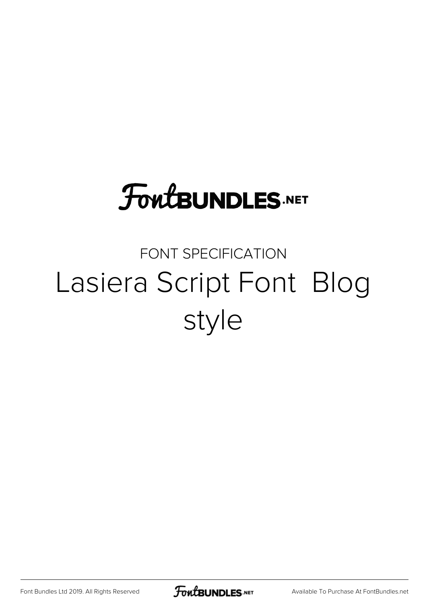## **FoutBUNDLES.NET**

## FONT SPECIFICATION Lasiera Script Font Blog style

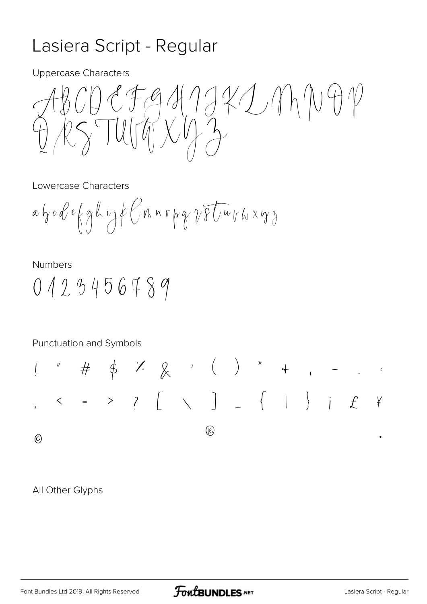## Lasiera Script - Regular

**Uppercase Characters** 

 $127941772011091$  $RSTURTNTXYAZ$ 

Lowercase Characters

 $a$  bode  $\{gh\cup f\}$  (thin pg  $\sqrt{g}$  Uw the xg  $\}$ 

**Numbers** 

 $0423456789$ 

Punctuation and Symbols

 $\# \quad \varphi \quad \textcolor{red}{\dot{\times}} \quad \textcolor{red}{\dot{\times}} \quad \textcolor{red}{\dot{\times}} \qquad \textcolor{red}{\dot{\times}} \qquad \textcolor{red}{\dot{\times}} \qquad \textcolor{red}{\dot{\times}} \qquad \textcolor{red}{\dot{\times}} \qquad \textcolor{red}{\dot{\times}} \qquad \textcolor{red}{\dot{\times}} \qquad \textcolor{red}{\dot{\times}} \qquad \textcolor{red}{\dot{\times}} \qquad \textcolor{red}{\dot{\times}} \qquad \textcolor{red}{\dot{\times}} \qquad \textcolor{red}{\dot{\times}} \qquad \textcolor{red}{\dot{\times}} \qquad \textcolor$  $\prod_{i=1}^{n}$  $\leftarrow$  = > ?  $[$   $\setminus$   $]$   $\{$   $|$   $\}$   $|$   $f$  $\frac{1}{2}$  $\mathcal{R}$  $\odot$ 

All Other Glyphs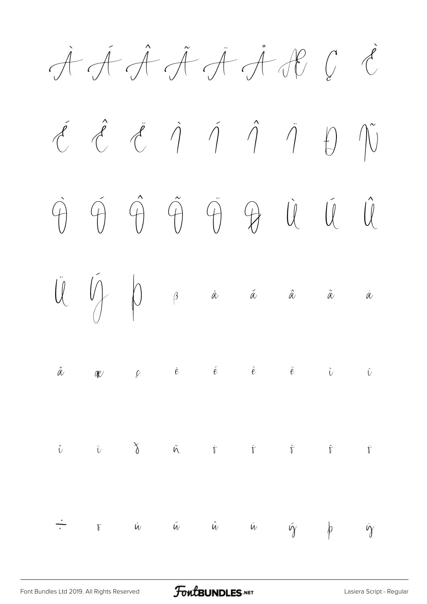À Á Â Ã Ä Å Æ Ç È  $\acute{c}$   $\acute{c}$   $\acute{c}$   $\grave{\gamma}$   $\acute{\gamma}$   $\acute{\gamma}$   $\acute{\gamma}$   $\acute{\gamma}$   $\acute{\gamma}$ Ò Ó Ô Õ Ö Ø Ù Ú Û  $\bigcup_{\alpha}^{\infty}$   $\bigcap_{\beta}$   $\beta$  à á â  $\alpha$  à à  $\mathring{\alpha}$  are  $\mathring{\nu}$  if  $\mathring{e}$  if  $\mathring{e}$  if  $\mathring{e}$  if  $\mathring{\nu}$  if  $\mathring{\nu}$  $\hat{U}$   $\ddot{U}$   $\delta$   $\tilde{W}$   $\dot{\tilde{V}}$   $\delta$   $\tilde{V}$   $\delta$   $\tilde{V}$   $\delta$  $\div$   $\kappa$  *ù* ú û ü ý þ ÿ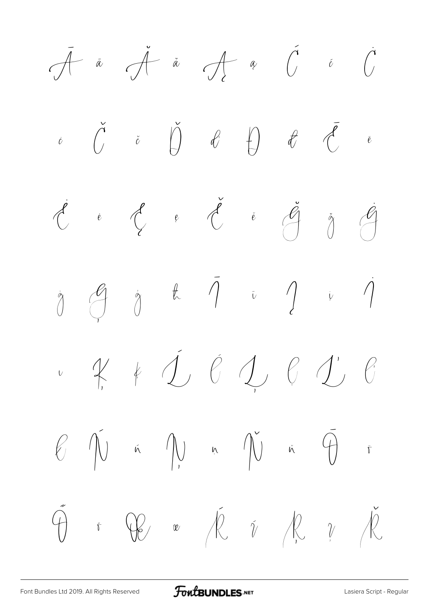$\overline{A}$   $\overline{a}$   $\overline{A}$   $\overline{a}$   $\overline{A}$   $\overline{a}$   $\overline{C}$   $\overline{c}$   $\overline{C}$  $\check{c}$   $\check{c}$   $\check{D}$   $\theta$   $\theta$   $\theta$   $\check{\theta}$   $\check{e}$  $\check{\mathcal{C}}$  è  $\check{\mathcal{C}}$  e  $\check{\mathcal{C}}$  è  $\check{\mathcal{C}}$   $\check{\mathcal{C}}$ ġ Ģ ģ ħ Ī ī Į į İ ı Ķ ķ Ĺ ĺ Ļ ļ Ľ ľ  $\begin{matrix} \mathcal{C} & \hat{\mathcal{N}} \end{matrix}$  in  $\begin{matrix} \mathcal{N} & \mathcal{N} \end{matrix}$  in  $\begin{matrix} \hat{\mathcal{N}} & \hat{\mathcal{N}} \end{matrix}$  in  $\begin{matrix} \hat{\mathcal{N}} & \hat{\mathcal{N}} \end{matrix}$  in  $\begin{matrix} \hat{\mathcal{N}} & \hat{\mathcal{N}} \end{matrix}$  $\tilde{\Theta}$  i  $\mathbb{C}$   $\kappa$   $\overline{\mathbb{R}}$   $\tilde{\nu}$   $\mathbb{R}$   $\gamma$   $\overline{\mathbb{R}}$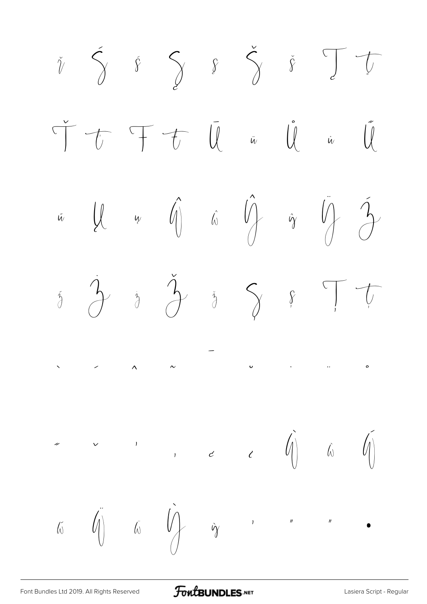

FontBUNDLES.NET